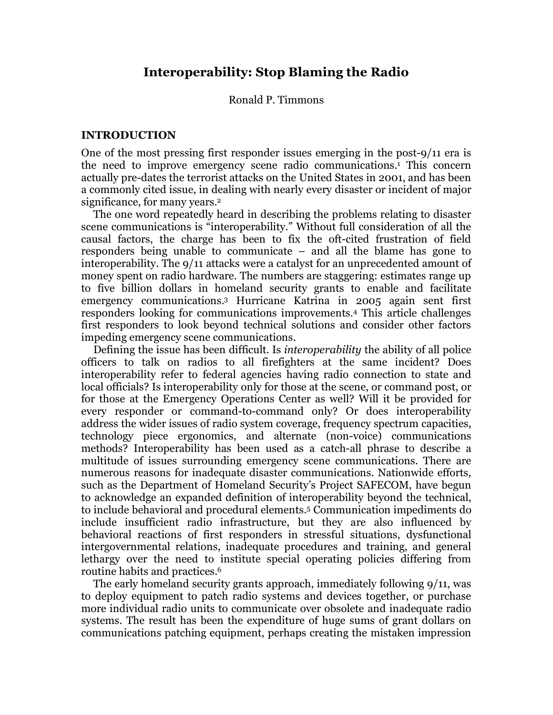### Ronald P. Timmons

### **INTRODUCTION**

One of the most pressing first responder issues emerging in the post-9/11 era is the need to improve emergency scene radio communications. <sup>1</sup> This concern actually pre-dates the terrorist attacks on the United States in 2001, and has been a commonly cited issue, in dealing with nearly every disaster or incident of major significance, for many years.<sup>2</sup>

The one word repeatedly heard in describing the problems relating to disaster scene communications is "interoperability." Without full consideration of all the causal factors, the charge has been to fix the oft-cited frustration of field responders being unable to communicate – and all the blame has gone to interoperability. The 9/11 attacks were a catalyst for an unprecedented amount of money spent on radio hardware. The numbers are staggering: estimates range up to five billion dollars in homeland security grants to enable and facilitate emergency communications. <sup>3</sup> Hurricane Katrina in 2005 again sent first responders looking for communications improvements. <sup>4</sup> This article challenges first responders to look beyond technical solutions and consider other factors impeding emergency scene communications.

Defining the issue has been difficult. Is *interoperability* the ability of all police officers to talk on radios to all firefighters at the same incident? Does interoperability refer to federal agencies having radio connection to state and local officials? Is interoperability only for those at the scene, or command post, or for those at the Emergency Operations Center as well? Will it be provided for every responder or command-to-command only? Or does interoperability address the wider issues of radio system coverage, frequency spectrum capacities, technology piece ergonomics, and alternate (non-voice) communications methods? Interoperability has been used as a catch-all phrase to describe a multitude of issues surrounding emergency scene communications. There are numerous reasons for inadequate disaster communications. Nationwide efforts, such as the Department of Homeland Security's Project SAFECOM, have begun to acknowledge an expanded definition of interoperability beyond the technical, to include behavioral and procedural elements.5 Communication impediments do include insufficient radio infrastructure, but they are also influenced by behavioral reactions of first responders in stressful situations, dysfunctional intergovernmental relations, inadequate procedures and training, and general lethargy over the need to institute special operating policies differing from routine habits and practices. 6

The early homeland security grants approach, immediately following 9/11, was to deploy equipment to patch radio systems and devices together, or purchase more individual radio units to communicate over obsolete and inadequate radio systems. The result has been the expenditure of huge sums of grant dollars on communications patching equipment, perhaps creating the mistaken impression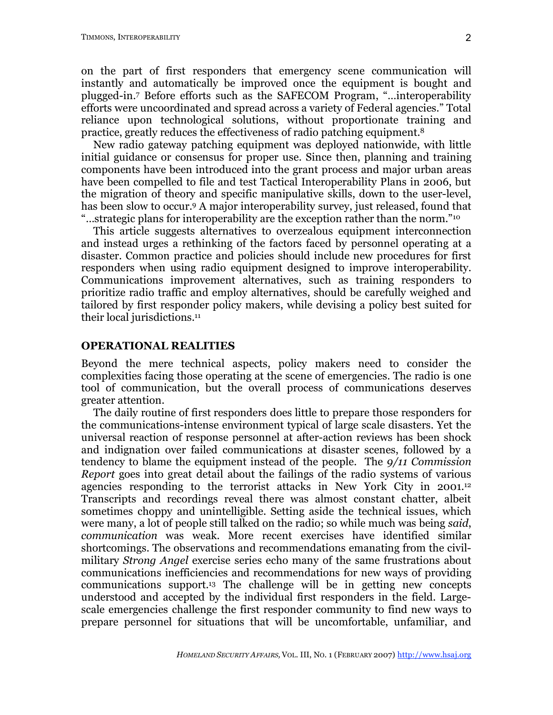on the part of first responders that emergency scene communication will instantly and automatically be improved once the equipment is bought and plugged-in. <sup>7</sup> Before efforts such as the SAFECOM Program, "…interoperability efforts were uncoordinated and spread across a variety of Federal agencies." Total reliance upon technological solutions, without proportionate training and practice, greatly reduces the effectiveness of radio patching equipment.8

New radio gateway patching equipment was deployed nationwide, with little initial guidance or consensus for proper use. Since then, planning and training components have been introduced into the grant process and major urban areas have been compelled to file and test Tactical Interoperability Plans in 2006, but the migration of theory and specific manipulative skills, down to the user-level, has been slow to occur.<sup>9</sup> A major interoperability survey, just released, found that "…strategic plans for interoperability are the exception rather than the norm."10

This article suggests alternatives to overzealous equipment interconnection and instead urges a rethinking of the factors faced by personnel operating at a disaster. Common practice and policies should include new procedures for first responders when using radio equipment designed to improve interoperability. Communications improvement alternatives, such as training responders to prioritize radio traffic and employ alternatives, should be carefully weighed and tailored by first responder policy makers, while devising a policy best suited for their local jurisdictions. 11

#### **OPERATIONAL REALITIES**

Beyond the mere technical aspects, policy makers need to consider the complexities facing those operating at the scene of emergencies. The radio is one tool of communication, but the overall process of communications deserves greater attention.

The daily routine of first responders does little to prepare those responders for the communications-intense environment typical of large scale disasters. Yet the universal reaction of response personnel at after-action reviews has been shock and indignation over failed communications at disaster scenes, followed by a tendency to blame the equipment instead of the people. The *9/11 Commission Report* goes into great detail about the failings of the radio systems of various agencies responding to the terrorist attacks in New York City in 2001.12 Transcripts and recordings reveal there was almost constant chatter, albeit sometimes choppy and unintelligible. Setting aside the technical issues, which were many, a lot of people still talked on the radio; so while much was being *said*, *communication* was weak. More recent exercises have identified similar shortcomings. The observations and recommendations emanating from the civilmilitary *Strong Angel* exercise series echo many of the same frustrations about communications inefficiencies and recommendations for new ways of providing communications support.13 The challenge will be in getting new concepts understood and accepted by the individual first responders in the field. Largescale emergencies challenge the first responder community to find new ways to prepare personnel for situations that will be uncomfortable, unfamiliar, and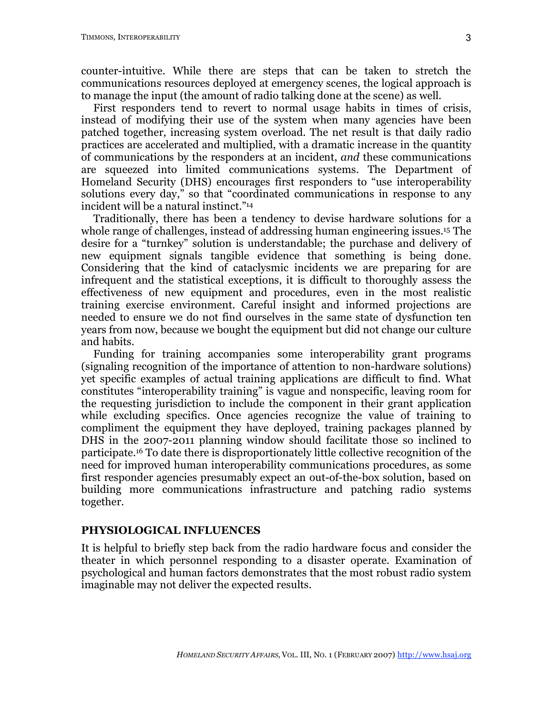counter-intuitive. While there are steps that can be taken to stretch the communications resources deployed at emergency scenes, the logical approach is to manage the input (the amount of radio talking done at the scene) as well.

First responders tend to revert to normal usage habits in times of crisis, instead of modifying their use of the system when many agencies have been patched together, increasing system overload. The net result is that daily radio practices are accelerated and multiplied, with a dramatic increase in the quantity of communications by the responders at an incident, *and* these communications are squeezed into limited communications systems. The Department of Homeland Security (DHS) encourages first responders to "use interoperability solutions every day," so that "coordinated communications in response to any incident will be a natural instinct."14

Traditionally, there has been a tendency to devise hardware solutions for a whole range of challenges, instead of addressing human engineering issues. <sup>15</sup> The desire for a "turnkey" solution is understandable; the purchase and delivery of new equipment signals tangible evidence that something is being done. Considering that the kind of cataclysmic incidents we are preparing for are infrequent and the statistical exceptions, it is difficult to thoroughly assess the effectiveness of new equipment and procedures, even in the most realistic training exercise environment. Careful insight and informed projections are needed to ensure we do not find ourselves in the same state of dysfunction ten years from now, because we bought the equipment but did not change our culture and habits.

Funding for training accompanies some interoperability grant programs (signaling recognition of the importance of attention to non-hardware solutions) yet specific examples of actual training applications are difficult to find. What constitutes "interoperability training" is vague and nonspecific, leaving room for the requesting jurisdiction to include the component in their grant application while excluding specifics. Once agencies recognize the value of training to compliment the equipment they have deployed, training packages planned by DHS in the 2007-2011 planning window should facilitate those so inclined to participate. <sup>16</sup> To date there is disproportionately little collective recognition of the need for improved human interoperability communications procedures, as some first responder agencies presumably expect an out-of-the-box solution, based on building more communications infrastructure and patching radio systems together.

#### **PHYSIOLOGICAL INFLUENCES**

It is helpful to briefly step back from the radio hardware focus and consider the theater in which personnel responding to a disaster operate. Examination of psychological and human factors demonstrates that the most robust radio system imaginable may not deliver the expected results.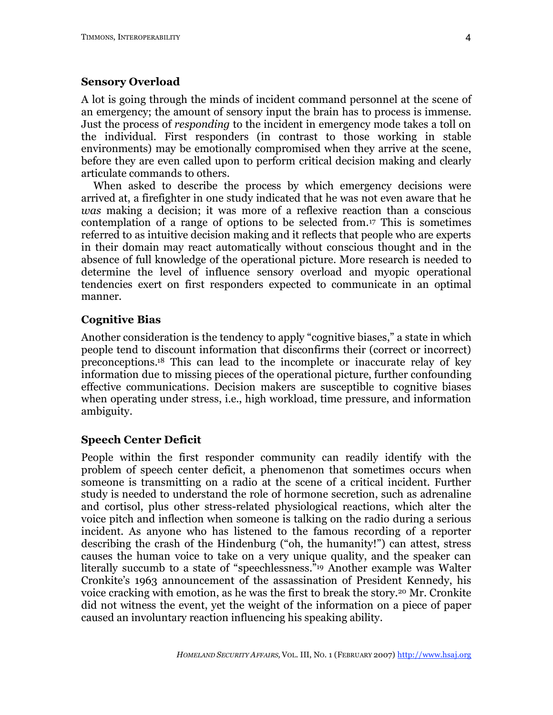### **Sensory Overload**

A lot is going through the minds of incident command personnel at the scene of an emergency; the amount of sensory input the brain has to process is immense. Just the process of *responding* to the incident in emergency mode takes a toll on the individual. First responders (in contrast to those working in stable environments) may be emotionally compromised when they arrive at the scene, before they are even called upon to perform critical decision making and clearly articulate commands to others.

When asked to describe the process by which emergency decisions were arrived at, a firefighter in one study indicated that he was not even aware that he *was* making a decision; it was more of a reflexive reaction than a conscious contemplation of a range of options to be selected from.17 This is sometimes referred to as intuitive decision making and it reflects that people who are experts in their domain may react automatically without conscious thought and in the absence of full knowledge of the operational picture. More research is needed to determine the level of influence sensory overload and myopic operational tendencies exert on first responders expected to communicate in an optimal manner.

# **Cognitive Bias**

Another consideration is the tendency to apply "cognitive biases," a state in which people tend to discount information that disconfirms their (correct or incorrect) preconceptions. <sup>18</sup> This can lead to the incomplete or inaccurate relay of key information due to missing pieces of the operational picture, further confounding effective communications. Decision makers are susceptible to cognitive biases when operating under stress, i.e., high workload, time pressure, and information ambiguity.

### **Speech Center Deficit**

People within the first responder community can readily identify with the problem of speech center deficit, a phenomenon that sometimes occurs when someone is transmitting on a radio at the scene of a critical incident. Further study is needed to understand the role of hormone secretion, such as adrenaline and cortisol, plus other stress-related physiological reactions, which alter the voice pitch and inflection when someone is talking on the radio during a serious incident. As anyone who has listened to the famous recording of a reporter describing the crash of the Hindenburg ("oh, the humanity!") can attest, stress causes the human voice to take on a very unique quality, and the speaker can literally succumb to a state of "speechlessness."19 Another example was Walter Cronkite's 1963 announcement of the assassination of President Kennedy, his voice cracking with emotion, as he was the first to break the story.20 Mr. Cronkite did not witness the event, yet the weight of the information on a piece of paper caused an involuntary reaction influencing his speaking ability.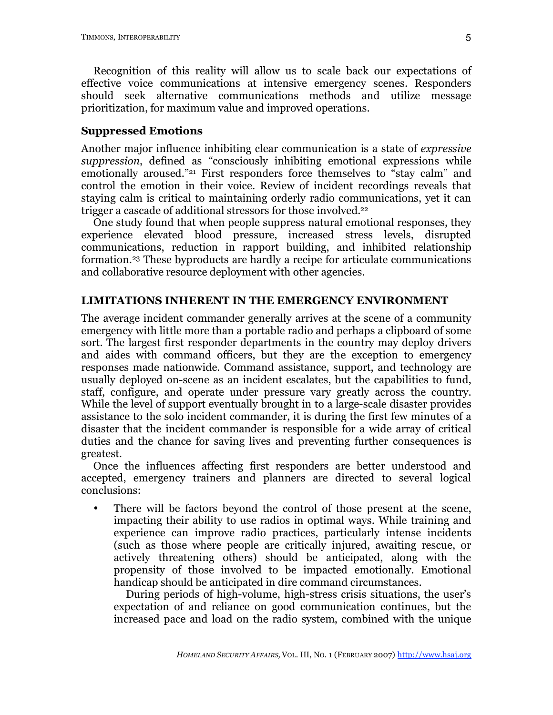Recognition of this reality will allow us to scale back our expectations of effective voice communications at intensive emergency scenes. Responders should seek alternative communications methods and utilize message prioritization, for maximum value and improved operations.

### **Suppressed Emotions**

Another major influence inhibiting clear communication is a state of *expressive suppression*, defined as "consciously inhibiting emotional expressions while emotionally aroused."21 First responders force themselves to "stay calm" and control the emotion in their voice. Review of incident recordings reveals that staying calm is critical to maintaining orderly radio communications, yet it can trigger a cascade of additional stressors for those involved. 22

One study found that when people suppress natural emotional responses, they experience elevated blood pressure, increased stress levels, disrupted communications, reduction in rapport building, and inhibited relationship formation.23 These byproducts are hardly a recipe for articulate communications and collaborative resource deployment with other agencies.

# **LIMITATIONS INHERENT IN THE EMERGENCY ENVIRONMENT**

The average incident commander generally arrives at the scene of a community emergency with little more than a portable radio and perhaps a clipboard of some sort. The largest first responder departments in the country may deploy drivers and aides with command officers, but they are the exception to emergency responses made nationwide. Command assistance, support, and technology are usually deployed on-scene as an incident escalates, but the capabilities to fund, staff, configure, and operate under pressure vary greatly across the country. While the level of support eventually brought in to a large-scale disaster provides assistance to the solo incident commander, it is during the first few minutes of a disaster that the incident commander is responsible for a wide array of critical duties and the chance for saving lives and preventing further consequences is greatest.

Once the influences affecting first responders are better understood and accepted, emergency trainers and planners are directed to several logical conclusions:

• There will be factors beyond the control of those present at the scene, impacting their ability to use radios in optimal ways. While training and experience can improve radio practices, particularly intense incidents (such as those where people are critically injured, awaiting rescue, or actively threatening others) should be anticipated, along with the propensity of those involved to be impacted emotionally. Emotional handicap should be anticipated in dire command circumstances.

During periods of high-volume, high-stress crisis situations, the user's expectation of and reliance on good communication continues, but the increased pace and load on the radio system, combined with the unique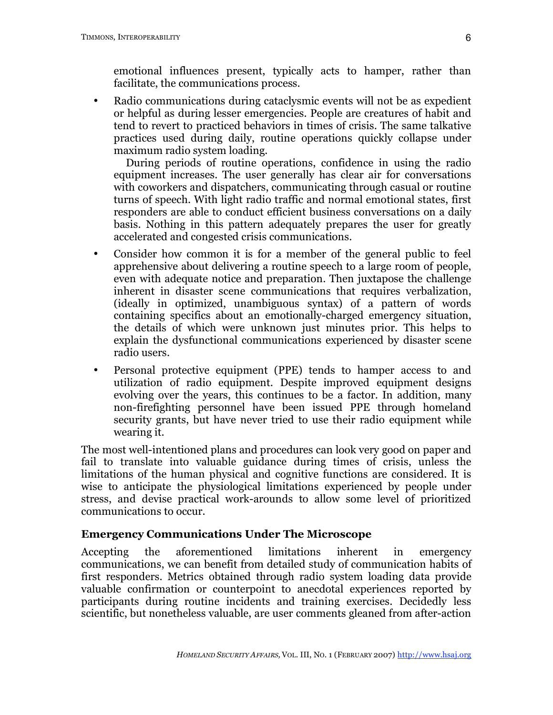emotional influences present, typically acts to hamper, rather than facilitate, the communications process.

• Radio communications during cataclysmic events will not be as expedient or helpful as during lesser emergencies. People are creatures of habit and tend to revert to practiced behaviors in times of crisis. The same talkative practices used during daily, routine operations quickly collapse under maximum radio system loading.

During periods of routine operations, confidence in using the radio equipment increases. The user generally has clear air for conversations with coworkers and dispatchers, communicating through casual or routine turns of speech. With light radio traffic and normal emotional states, first responders are able to conduct efficient business conversations on a daily basis. Nothing in this pattern adequately prepares the user for greatly accelerated and congested crisis communications.

- Consider how common it is for a member of the general public to feel apprehensive about delivering a routine speech to a large room of people, even with adequate notice and preparation. Then juxtapose the challenge inherent in disaster scene communications that requires verbalization, (ideally in optimized, unambiguous syntax) of a pattern of words containing specifics about an emotionally-charged emergency situation, the details of which were unknown just minutes prior. This helps to explain the dysfunctional communications experienced by disaster scene radio users.
- Personal protective equipment (PPE) tends to hamper access to and utilization of radio equipment. Despite improved equipment designs evolving over the years, this continues to be a factor. In addition, many non-firefighting personnel have been issued PPE through homeland security grants, but have never tried to use their radio equipment while wearing it.

The most well-intentioned plans and procedures can look very good on paper and fail to translate into valuable guidance during times of crisis, unless the limitations of the human physical and cognitive functions are considered. It is wise to anticipate the physiological limitations experienced by people under stress, and devise practical work-arounds to allow some level of prioritized communications to occur.

# **Emergency Communications Under The Microscope**

Accepting the aforementioned limitations inherent in emergency communications, we can benefit from detailed study of communication habits of first responders. Metrics obtained through radio system loading data provide valuable confirmation or counterpoint to anecdotal experiences reported by participants during routine incidents and training exercises. Decidedly less scientific, but nonetheless valuable, are user comments gleaned from after-action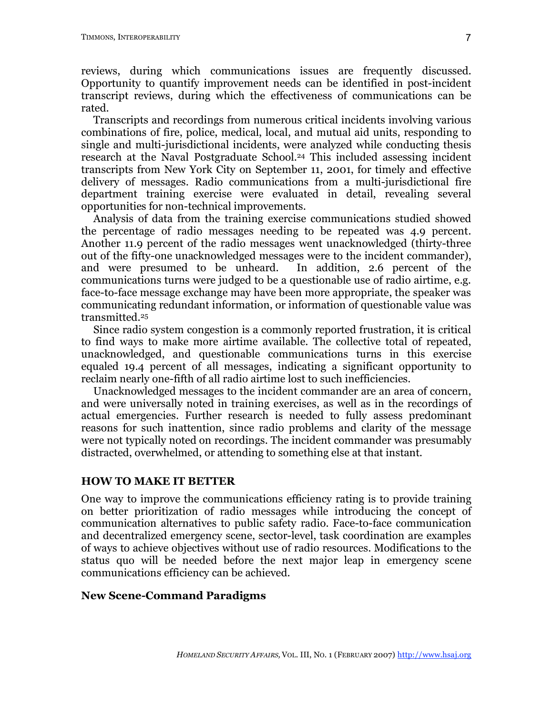reviews, during which communications issues are frequently discussed. Opportunity to quantify improvement needs can be identified in post-incident transcript reviews, during which the effectiveness of communications can be rated.

Transcripts and recordings from numerous critical incidents involving various combinations of fire, police, medical, local, and mutual aid units, responding to single and multi-jurisdictional incidents, were analyzed while conducting thesis research at the Naval Postgraduate School.24 This included assessing incident transcripts from New York City on September 11, 2001, for timely and effective delivery of messages. Radio communications from a multi-jurisdictional fire department training exercise were evaluated in detail, revealing several opportunities for non-technical improvements.

Analysis of data from the training exercise communications studied showed the percentage of radio messages needing to be repeated was 4.9 percent. Another 11.9 percent of the radio messages went unacknowledged (thirty-three out of the fifty-one unacknowledged messages were to the incident commander), and were presumed to be unheard. In addition, 2.6 percent of the communications turns were judged to be a questionable use of radio airtime, e.g. face-to-face message exchange may have been more appropriate, the speaker was communicating redundant information, or information of questionable value was transmitted.25

Since radio system congestion is a commonly reported frustration, it is critical to find ways to make more airtime available. The collective total of repeated, unacknowledged, and questionable communications turns in this exercise equaled 19.4 percent of all messages, indicating a significant opportunity to reclaim nearly one-fifth of all radio airtime lost to such inefficiencies.

Unacknowledged messages to the incident commander are an area of concern, and were universally noted in training exercises, as well as in the recordings of actual emergencies. Further research is needed to fully assess predominant reasons for such inattention, since radio problems and clarity of the message were not typically noted on recordings. The incident commander was presumably distracted, overwhelmed, or attending to something else at that instant.

### **HOW TO MAKE IT BETTER**

One way to improve the communications efficiency rating is to provide training on better prioritization of radio messages while introducing the concept of communication alternatives to public safety radio. Face-to-face communication and decentralized emergency scene, sector-level, task coordination are examples of ways to achieve objectives without use of radio resources. Modifications to the status quo will be needed before the next major leap in emergency scene communications efficiency can be achieved.

### **New Scene-Command Paradigms**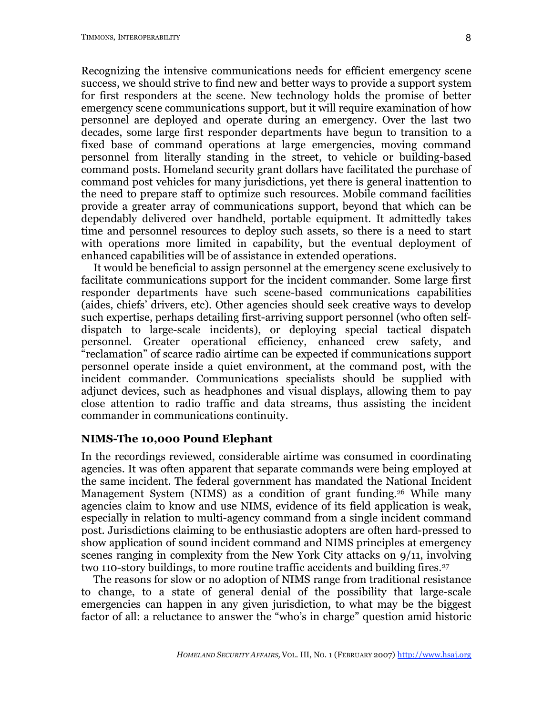Recognizing the intensive communications needs for efficient emergency scene success, we should strive to find new and better ways to provide a support system for first responders at the scene. New technology holds the promise of better emergency scene communications support, but it will require examination of how personnel are deployed and operate during an emergency. Over the last two decades, some large first responder departments have begun to transition to a fixed base of command operations at large emergencies, moving command personnel from literally standing in the street, to vehicle or building-based command posts. Homeland security grant dollars have facilitated the purchase of command post vehicles for many jurisdictions, yet there is general inattention to the need to prepare staff to optimize such resources. Mobile command facilities provide a greater array of communications support, beyond that which can be dependably delivered over handheld, portable equipment. It admittedly takes time and personnel resources to deploy such assets, so there is a need to start with operations more limited in capability, but the eventual deployment of enhanced capabilities will be of assistance in extended operations.

It would be beneficial to assign personnel at the emergency scene exclusively to facilitate communications support for the incident commander. Some large first responder departments have such scene-based communications capabilities (aides, chiefs' drivers, etc). Other agencies should seek creative ways to develop such expertise, perhaps detailing first-arriving support personnel (who often selfdispatch to large-scale incidents), or deploying special tactical dispatch personnel. Greater operational efficiency, enhanced crew safety, and "reclamation" of scarce radio airtime can be expected if communications support personnel operate inside a quiet environment, at the command post, with the incident commander. Communications specialists should be supplied with adjunct devices, such as headphones and visual displays, allowing them to pay close attention to radio traffic and data streams, thus assisting the incident commander in communications continuity.

#### **NIMS-The 10,000 Pound Elephant**

In the recordings reviewed, considerable airtime was consumed in coordinating agencies. It was often apparent that separate commands were being employed at the same incident. The federal government has mandated the National Incident Management System (NIMS) as a condition of grant funding.26 While many agencies claim to know and use NIMS, evidence of its field application is weak, especially in relation to multi-agency command from a single incident command post. Jurisdictions claiming to be enthusiastic adopters are often hard-pressed to show application of sound incident command and NIMS principles at emergency scenes ranging in complexity from the New York City attacks on 9/11, involving two 110-story buildings, to more routine traffic accidents and building fires.<sup>27</sup>

The reasons for slow or no adoption of NIMS range from traditional resistance to change, to a state of general denial of the possibility that large-scale emergencies can happen in any given jurisdiction, to what may be the biggest factor of all: a reluctance to answer the "who's in charge" question amid historic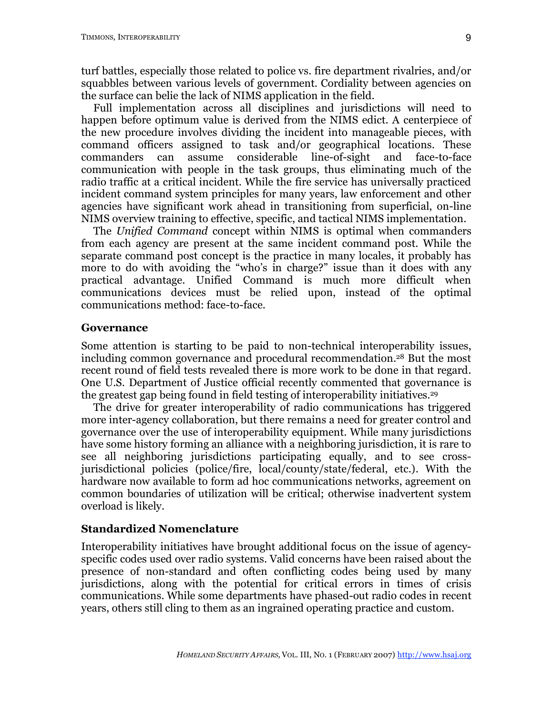turf battles, especially those related to police vs. fire department rivalries, and/or squabbles between various levels of government. Cordiality between agencies on the surface can belie the lack of NIMS application in the field.

Full implementation across all disciplines and jurisdictions will need to happen before optimum value is derived from the NIMS edict. A centerpiece of the new procedure involves dividing the incident into manageable pieces, with command officers assigned to task and/or geographical locations. These commanders can assume considerable line-of-sight and face-to-face communication with people in the task groups, thus eliminating much of the radio traffic at a critical incident. While the fire service has universally practiced incident command system principles for many years, law enforcement and other agencies have significant work ahead in transitioning from superficial, on-line NIMS overview training to effective, specific, and tactical NIMS implementation.

The *Unified Command* concept within NIMS is optimal when commanders from each agency are present at the same incident command post. While the separate command post concept is the practice in many locales, it probably has more to do with avoiding the "who's in charge?" issue than it does with any practical advantage. Unified Command is much more difficult when communications devices must be relied upon, instead of the optimal communications method: face-to-face.

### **Governance**

Some attention is starting to be paid to non-technical interoperability issues, including common governance and procedural recommendation.28 But the most recent round of field tests revealed there is more work to be done in that regard. One U.S. Department of Justice official recently commented that governance is the greatest gap being found in field testing of interoperability initiatives. 29

The drive for greater interoperability of radio communications has triggered more inter-agency collaboration, but there remains a need for greater control and governance over the use of interoperability equipment. While many jurisdictions have some history forming an alliance with a neighboring jurisdiction, it is rare to see all neighboring jurisdictions participating equally, and to see crossjurisdictional policies (police/fire, local/county/state/federal, etc.). With the hardware now available to form ad hoc communications networks, agreement on common boundaries of utilization will be critical; otherwise inadvertent system overload is likely.

# **Standardized Nomenclature**

Interoperability initiatives have brought additional focus on the issue of agencyspecific codes used over radio systems. Valid concerns have been raised about the presence of non-standard and often conflicting codes being used by many jurisdictions, along with the potential for critical errors in times of crisis communications. While some departments have phased-out radio codes in recent years, others still cling to them as an ingrained operating practice and custom.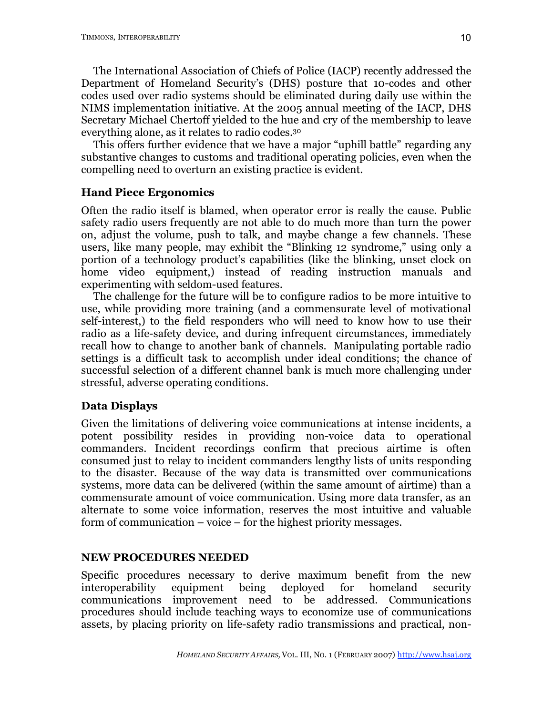The International Association of Chiefs of Police (IACP) recently addressed the Department of Homeland Security's (DHS) posture that 10-codes and other codes used over radio systems should be eliminated during daily use within the NIMS implementation initiative. At the 2005 annual meeting of the IACP, DHS Secretary Michael Chertoff yielded to the hue and cry of the membership to leave everything alone, as it relates to radio codes.30

This offers further evidence that we have a major "uphill battle" regarding any substantive changes to customs and traditional operating policies, even when the compelling need to overturn an existing practice is evident.

# **Hand Piece Ergonomics**

Often the radio itself is blamed, when operator error is really the cause. Public safety radio users frequently are not able to do much more than turn the power on, adjust the volume, push to talk, and maybe change a few channels. These users, like many people, may exhibit the "Blinking 12 syndrome," using only a portion of a technology product's capabilities (like the blinking, unset clock on home video equipment,) instead of reading instruction manuals and experimenting with seldom-used features.

The challenge for the future will be to configure radios to be more intuitive to use, while providing more training (and a commensurate level of motivational self-interest,) to the field responders who will need to know how to use their radio as a life-safety device, and during infrequent circumstances, immediately recall how to change to another bank of channels. Manipulating portable radio settings is a difficult task to accomplish under ideal conditions; the chance of successful selection of a different channel bank is much more challenging under stressful, adverse operating conditions.

# **Data Displays**

Given the limitations of delivering voice communications at intense incidents, a potent possibility resides in providing non-voice data to operational commanders. Incident recordings confirm that precious airtime is often consumed just to relay to incident commanders lengthy lists of units responding to the disaster. Because of the way data is transmitted over communications systems, more data can be delivered (within the same amount of airtime) than a commensurate amount of voice communication. Using more data transfer, as an alternate to some voice information, reserves the most intuitive and valuable form of communication – voice – for the highest priority messages.

# **NEW PROCEDURES NEEDED**

Specific procedures necessary to derive maximum benefit from the new interoperability equipment being deployed for homeland security communications improvement need to be addressed. Communications procedures should include teaching ways to economize use of communications assets, by placing priority on life-safety radio transmissions and practical, non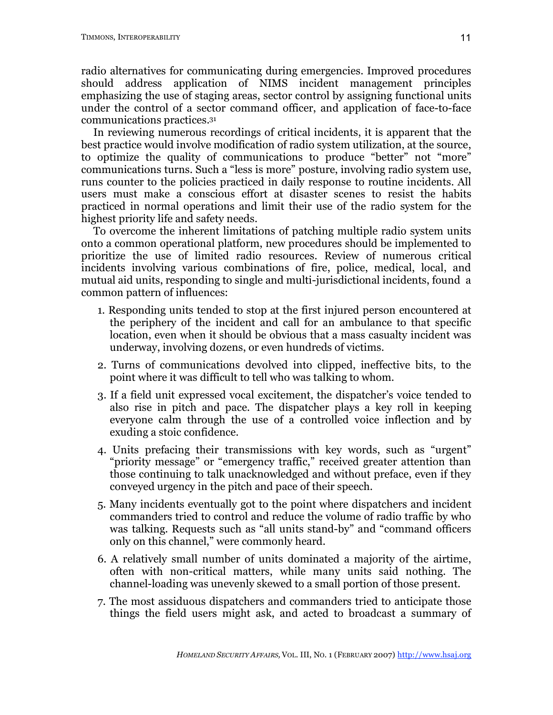radio alternatives for communicating during emergencies. Improved procedures should address application of NIMS incident management principles emphasizing the use of staging areas, sector control by assigning functional units under the control of a sector command officer, and application of face-to-face communications practices. 31

In reviewing numerous recordings of critical incidents, it is apparent that the best practice would involve modification of radio system utilization, at the source, to optimize the quality of communications to produce "better" not "more" communications turns. Such a "less is more" posture, involving radio system use, runs counter to the policies practiced in daily response to routine incidents. All users must make a conscious effort at disaster scenes to resist the habits practiced in normal operations and limit their use of the radio system for the highest priority life and safety needs.

To overcome the inherent limitations of patching multiple radio system units onto a common operational platform, new procedures should be implemented to prioritize the use of limited radio resources. Review of numerous critical incidents involving various combinations of fire, police, medical, local, and mutual aid units, responding to single and multi-jurisdictional incidents, found a common pattern of influences:

- 1. Responding units tended to stop at the first injured person encountered at the periphery of the incident and call for an ambulance to that specific location, even when it should be obvious that a mass casualty incident was underway, involving dozens, or even hundreds of victims.
- 2. Turns of communications devolved into clipped, ineffective bits, to the point where it was difficult to tell who was talking to whom.
- 3. If a field unit expressed vocal excitement, the dispatcher's voice tended to also rise in pitch and pace. The dispatcher plays a key roll in keeping everyone calm through the use of a controlled voice inflection and by exuding a stoic confidence.
- 4. Units prefacing their transmissions with key words, such as "urgent" "priority message" or "emergency traffic," received greater attention than those continuing to talk unacknowledged and without preface, even if they conveyed urgency in the pitch and pace of their speech.
- 5. Many incidents eventually got to the point where dispatchers and incident commanders tried to control and reduce the volume of radio traffic by who was talking. Requests such as "all units stand-by" and "command officers only on this channel," were commonly heard.
- 6. A relatively small number of units dominated a majority of the airtime, often with non-critical matters, while many units said nothing. The channel-loading was unevenly skewed to a small portion of those present.
- 7. The most assiduous dispatchers and commanders tried to anticipate those things the field users might ask, and acted to broadcast a summary of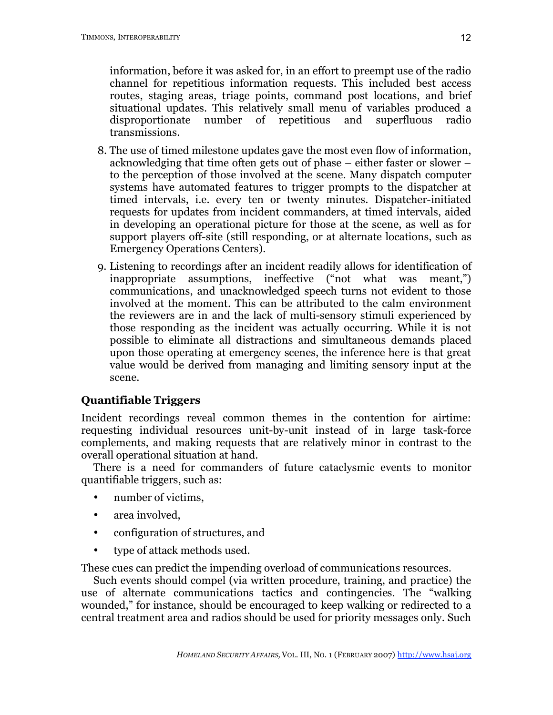information, before it was asked for, in an effort to preempt use of the radio channel for repetitious information requests. This included best access routes, staging areas, triage points, command post locations, and brief situational updates. This relatively small menu of variables produced a disproportionate number of repetitious and superfluous radio transmissions.

- 8. The use of timed milestone updates gave the most even flow of information, acknowledging that time often gets out of phase – either faster or slower – to the perception of those involved at the scene. Many dispatch computer systems have automated features to trigger prompts to the dispatcher at timed intervals, i.e. every ten or twenty minutes. Dispatcher-initiated requests for updates from incident commanders, at timed intervals, aided in developing an operational picture for those at the scene, as well as for support players off-site (still responding, or at alternate locations, such as Emergency Operations Centers).
- 9. Listening to recordings after an incident readily allows for identification of inappropriate assumptions, ineffective ("not what was meant,") communications, and unacknowledged speech turns not evident to those involved at the moment. This can be attributed to the calm environment the reviewers are in and the lack of multi-sensory stimuli experienced by those responding as the incident was actually occurring. While it is not possible to eliminate all distractions and simultaneous demands placed upon those operating at emergency scenes, the inference here is that great value would be derived from managing and limiting sensory input at the scene.

# **Quantifiable Triggers**

Incident recordings reveal common themes in the contention for airtime: requesting individual resources unit-by-unit instead of in large task-force complements, and making requests that are relatively minor in contrast to the overall operational situation at hand.

There is a need for commanders of future cataclysmic events to monitor quantifiable triggers, such as:

- number of victims,
- area involved.
- configuration of structures, and
- type of attack methods used.

These cues can predict the impending overload of communications resources.

Such events should compel (via written procedure, training, and practice) the use of alternate communications tactics and contingencies. The "walking wounded," for instance, should be encouraged to keep walking or redirected to a central treatment area and radios should be used for priority messages only. Such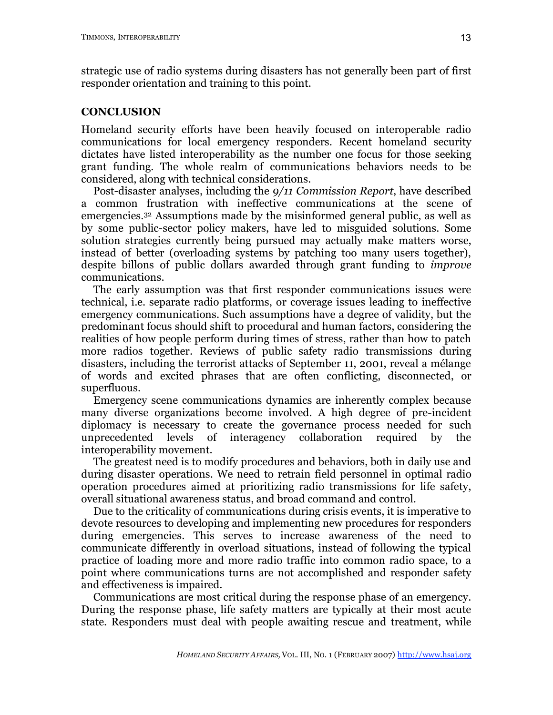strategic use of radio systems during disasters has not generally been part of first responder orientation and training to this point.

### **CONCLUSION**

Homeland security efforts have been heavily focused on interoperable radio communications for local emergency responders. Recent homeland security dictates have listed interoperability as the number one focus for those seeking grant funding. The whole realm of communications behaviors needs to be considered, along with technical considerations.

Post-disaster analyses, including the *9/11 Commission Report*, have described a common frustration with ineffective communications at the scene of emergencies.32 Assumptions made by the misinformed general public, as well as by some public-sector policy makers, have led to misguided solutions. Some solution strategies currently being pursued may actually make matters worse, instead of better (overloading systems by patching too many users together), despite billons of public dollars awarded through grant funding to *improve* communications.

The early assumption was that first responder communications issues were technical, i.e. separate radio platforms, or coverage issues leading to ineffective emergency communications. Such assumptions have a degree of validity, but the predominant focus should shift to procedural and human factors, considering the realities of how people perform during times of stress, rather than how to patch more radios together. Reviews of public safety radio transmissions during disasters, including the terrorist attacks of September 11, 2001, reveal a mélange of words and excited phrases that are often conflicting, disconnected, or superfluous.

Emergency scene communications dynamics are inherently complex because many diverse organizations become involved. A high degree of pre-incident diplomacy is necessary to create the governance process needed for such unprecedented levels of interagency collaboration required by the interoperability movement.

The greatest need is to modify procedures and behaviors, both in daily use and during disaster operations. We need to retrain field personnel in optimal radio operation procedures aimed at prioritizing radio transmissions for life safety, overall situational awareness status, and broad command and control.

Due to the criticality of communications during crisis events, it is imperative to devote resources to developing and implementing new procedures for responders during emergencies. This serves to increase awareness of the need to communicate differently in overload situations, instead of following the typical practice of loading more and more radio traffic into common radio space, to a point where communications turns are not accomplished and responder safety and effectiveness is impaired.

Communications are most critical during the response phase of an emergency. During the response phase, life safety matters are typically at their most acute state. Responders must deal with people awaiting rescue and treatment, while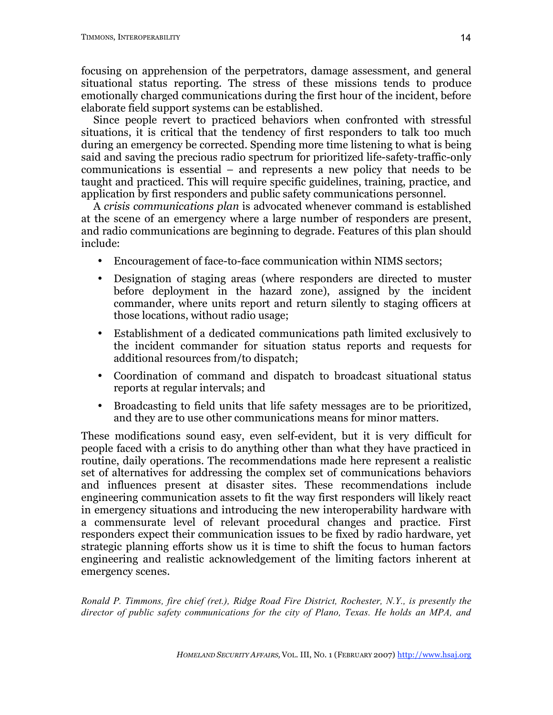focusing on apprehension of the perpetrators, damage assessment, and general situational status reporting. The stress of these missions tends to produce emotionally charged communications during the first hour of the incident, before elaborate field support systems can be established.

Since people revert to practiced behaviors when confronted with stressful situations, it is critical that the tendency of first responders to talk too much during an emergency be corrected. Spending more time listening to what is being said and saving the precious radio spectrum for prioritized life-safety-traffic-only communications is essential – and represents a new policy that needs to be taught and practiced. This will require specific guidelines, training, practice, and application by first responders and public safety communications personnel.

A *crisis communications plan* is advocated whenever command is established at the scene of an emergency where a large number of responders are present, and radio communications are beginning to degrade. Features of this plan should include:

- Encouragement of face-to-face communication within NIMS sectors;
- Designation of staging areas (where responders are directed to muster before deployment in the hazard zone), assigned by the incident commander, where units report and return silently to staging officers at those locations, without radio usage;
- Establishment of a dedicated communications path limited exclusively to the incident commander for situation status reports and requests for additional resources from/to dispatch;
- Coordination of command and dispatch to broadcast situational status reports at regular intervals; and
- Broadcasting to field units that life safety messages are to be prioritized, and they are to use other communications means for minor matters.

These modifications sound easy, even self-evident, but it is very difficult for people faced with a crisis to do anything other than what they have practiced in routine, daily operations. The recommendations made here represent a realistic set of alternatives for addressing the complex set of communications behaviors and influences present at disaster sites. These recommendations include engineering communication assets to fit the way first responders will likely react in emergency situations and introducing the new interoperability hardware with a commensurate level of relevant procedural changes and practice. First responders expect their communication issues to be fixed by radio hardware, yet strategic planning efforts show us it is time to shift the focus to human factors engineering and realistic acknowledgement of the limiting factors inherent at emergency scenes.

*Ronald P. Timmons, fire chief (ret.), Ridge Road Fire District, Rochester, N.Y., is presently the director of public safety communications for the city of Plano, Texas. He holds an MPA, and*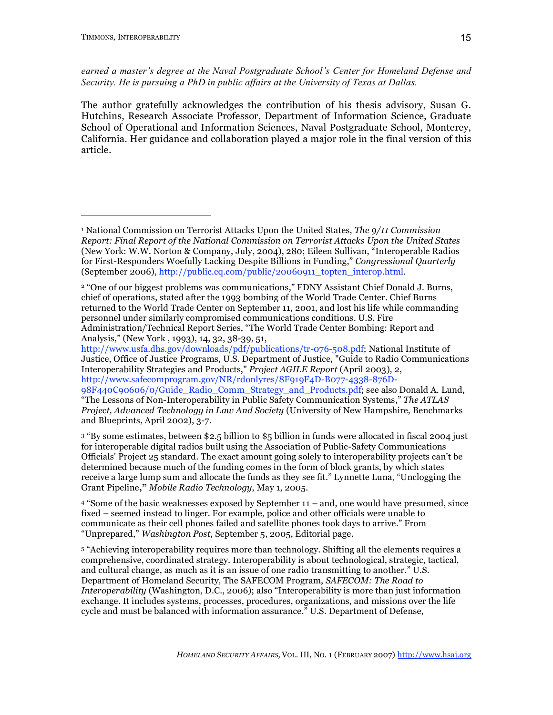*earned a master's degree at the Naval Postgraduate School's Center for Homeland Defense and Security. He is pursuing a PhD in public affairs at the University of Texas at Dallas.*

The author gratefully acknowledges the contribution of his thesis advisory, Susan G. Hutchins, Research Associate Professor, Department of Information Science, Graduate School of Operational and Information Sciences, Naval Postgraduate School, Monterey, California. Her guidance and collaboration played a major role in the final version of this article.

http://www.usfa.dhs.gov/downloads/pdf/publications/tr-076-508.pdf; National Institute of Justice, Office of Justice Programs, U.S. Department of Justice, "Guide to Radio Communications Interoperability Strategies and Products," *Project AGILE Report* (April 2003), 2, http://www.safecomprogram.gov/NR/rdonlyres/8F919F4D-B077-4338-876D-

98F440C90606/0/Guide\_Radio\_Comm\_Strategy\_and\_Products.pdf; see also Donald A. Lund, "The Lessons of Non-Interoperability in Public Safety Communication Systems," *The ATLAS Project, Advanced Technology in Law And Society* (University of New Hampshire, Benchmarks and Blueprints, April 2002), 3-7.

<sup>3</sup> "By some estimates, between \$2.5 billion to \$5 billion in funds were allocated in fiscal 2004 just for interoperable digital radios built using the Association of Public-Safety Communications Officials' Project 25 standard. The exact amount going solely to interoperability projects can't be determined because much of the funding comes in the form of block grants, by which states receive a large lump sum and allocate the funds as they see fit." Lynnette Luna, "Unclogging the Grant Pipeline**,"** *Mobile Radio Technology*, May 1, 2005.

<sup>4</sup> "Some of the basic weaknesses exposed by September 11 – and, one would have presumed, since fixed – seemed instead to linger. For example, police and other officials were unable to communicate as their cell phones failed and satellite phones took days to arrive." From "Unprepared," *Washington Post,* September 5, 2005, Editorial page.

<sup>5</sup> "Achieving interoperability requires more than technology. Shifting all the elements requires a comprehensive, coordinated strategy. Interoperability is about technological, strategic, tactical, and cultural change, as much as it is an issue of one radio transmitting to another." U.S. Department of Homeland Security*,* The SAFECOM Program, *SAFECOM: The Road to Interoperability* (Washington, D.C., 2006); also "Interoperability is more than just information exchange. It includes systems, processes, procedures, organizations, and missions over the life cycle and must be balanced with information assurance." U.S. Department of Defense,

<sup>1</sup> National Commission on Terrorist Attacks Upon the United States, *The 9/11 Commission Report: Final Report of the National Commission on Terrorist Attacks Upon the United States* (New York: W.W. Norton & Company, July, 2004), 280; Eileen Sullivan, "Interoperable Radios for First-Responders Woefully Lacking Despite Billions in Funding," *Congressional Quarterly* (September 2006), http://public.cq.com/public/20060911\_topten\_interop.html.

<sup>2</sup> "One of our biggest problems was communications," FDNY Assistant Chief Donald J. Burns, chief of operations, stated after the 1993 bombing of the World Trade Center. Chief Burns returned to the World Trade Center on September 11, 2001, and lost his life while commanding personnel under similarly compromised communications conditions. U.S. Fire Administration/Technical Report Series, "The World Trade Center Bombing: Report and Analysis," (New York , 1993), 14, 32, 38-39, 51,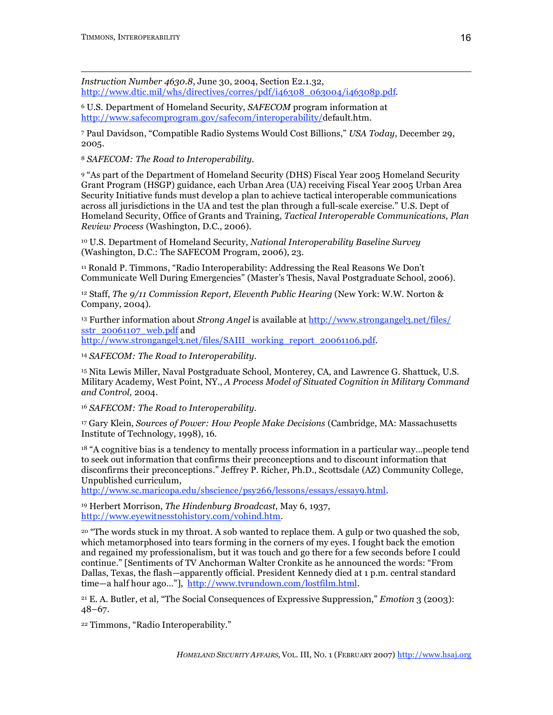*Instruction Number 4630.8*, June 30, 2004, Section E2.1.32, http://www.dtic.mil/whs/directives/corres/pdf/i46308\_063004/i46308p.pdf.

<sup>6</sup> U.S. Department of Homeland Security, *SAFECOM* program information at http://www.safecomprogram.gov/safecom/interoperability/default.htm.

<sup>7</sup> Paul Davidson, "Compatible Radio Systems Would Cost Billions," *USA Today*, December 29, 2005.

<sup>8</sup> *SAFECOM: The Road to Interoperability.*

<sup>9</sup> "As part of the Department of Homeland Security (DHS) Fiscal Year 2005 Homeland Security Grant Program (HSGP) guidance, each Urban Area (UA) receiving Fiscal Year 2005 Urban Area Security Initiative funds must develop a plan to achieve tactical interoperable communications across all jurisdictions in the UA and test the plan through a full-scale exercise." U.S. Dept of Homeland Security, Office of Grants and Training, *Tactical Interoperable Communications, Plan Review Process* (Washington, D.C., 2006).

<sup>10</sup> U.S. Department of Homeland Security, *National Interoperability Baseline Survey* (Washington, D.C.: The SAFECOM Program, 2006), 23.

<sup>11</sup> Ronald P. Timmons, "Radio Interoperability: Addressing the Real Reasons We Don't Communicate Well During Emergencies" (Master's Thesis, Naval Postgraduate School, 2006).

<sup>12</sup> Staff, *The 9/11 Commission Report, Eleventh Public Hearing* (New York: W.W. Norton & Company, 2004).

<sup>13</sup> Further information about *Strong Angel* is available at http://www.strongangel3.net/files/ sstr\_20061107\_web.pdf and http://www.strongangel3.net/files/SAIII\_working\_report\_20061106.pdf.

<sup>14</sup> *SAFECOM: The Road to Interoperability.*

<sup>15</sup> Nita Lewis Miller, Naval Postgraduate School, Monterey, CA, and Lawrence G. Shattuck, U.S. Military Academy, West Point, NY., *A Process Model of Situated Cognition in Military Command and Control,* 2004.

<sup>16</sup> *SAFECOM: The Road to Interoperability.*

<sup>17</sup> Gary Klein, *Sources of Power: How People Make Decisions* (Cambridge, MA: Massachusetts Institute of Technology, 1998), 16.

<sup>18</sup> "A cognitive bias is a tendency to mentally process information in a particular way…people tend to seek out information that confirms their preconceptions and to discount information that disconfirms their preconceptions." Jeffrey P. Richer, Ph.D., Scottsdale (AZ) Community College, Unpublished curriculum,

http://www.sc.maricopa.edu/sbscience/psy266/lessons/essays/essay9.html.

<sup>19</sup> Herbert Morrison, *The Hindenburg Broadcast*, May 6, 1937, http://www.eyewitnesstohistory.com/vohind.htm.

<sup>20</sup> "The words stuck in my throat. A sob wanted to replace them. A gulp or two quashed the sob, which metamorphosed into tears forming in the corners of my eyes. I fought back the emotion and regained my professionalism, but it was touch and go there for a few seconds before I could continue." [Sentiments of TV Anchorman Walter Cronkite as he announced the words: "From Dallas, Texas, the flash—apparently official. President Kennedy died at 1 p.m. central standard time—a half hour ago…"], http://www.tvrundown.com/lostfilm.html.

<sup>21</sup> E. A. Butler, et al, "The Social Consequences of Expressive Suppression," *Emotion* 3 (2003): 48–67.

<sup>22</sup> Timmons, "Radio Interoperability."